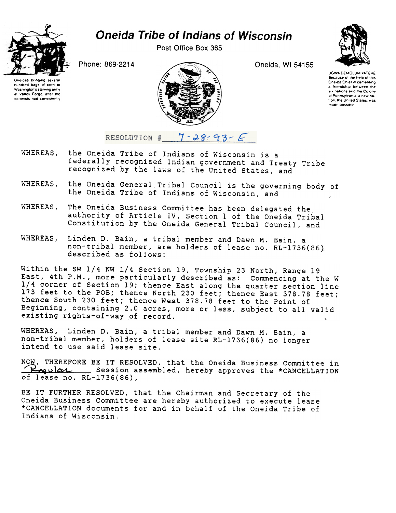

## **Oneida Tribe of Indians of Wisconsin**

Post Office Box 365

Oneida, WI 54155



**UGWA DEMOLUM VATERE** Because of the help of this Oneida Chief in cementing a friendship hetween the six nations and the Colony of Pennsylvania, a new na tion, the United States, was made possible

Phone: 869-2214





RESOLUTION #  $7 - 28 - 93 - 6$ 

- WHEREAS, the Oneida Tribe of Indians of Wisconsin is a federally recognized Indian government and Treaty Tribe recognized by the laws of the United States, and
- WHEREAS, the Oneida General Tribal Council is the governing body of the Oneida Tribe of Indians of Wisconsin, and
- The Oneida Business Committee has been delegated the WHEREAS, authority of Article IV, Section 1 of the Oneida Tribal Constitution by the Oneida General Tribal Council, and
- WHEREAS, Linden D. Bain, a tribal member and Dawn M. Bain, a non-tribal member, are holders of lease no. RL-1736(86) described as follows:

Within the SW 1/4 NW 1/4 Section 19, Township 23 North, Range 19 East, 4th P.M., more particularly described as: Commencing at the W 1/4 corner of Section 19; thence East along the quarter section line 173 feet to the POB; thence North 230 feet; thence East 378.78 feet; thence South 230 feet; thence West 378.78 feet to the Point of Beginning, containing 2.0 acres, more or less, subject to all valid existing rights-of-way of record.

WHEREAS, Linden D. Bain, a tribal member and Dawn M. Bain, a non-tribal member, holders of lease site RL-1736(86) no longer intend to use said lease site.

NOW, THEREFORE BE IT RESOLVED, that the Oneida Business Committee in <u>Leavicute Session assembled</u>, hereby approves the \*CANCELLATION of lease no. RL-1736(86),

BE IT FURTHER RESOLVED, that the Chairman and Secretary of the Oneida Business Committee are hereby authorized to execute lease \*CANCELLATION documents for and in behalf of the Oneida Tribe of Indians of Wisconsin.